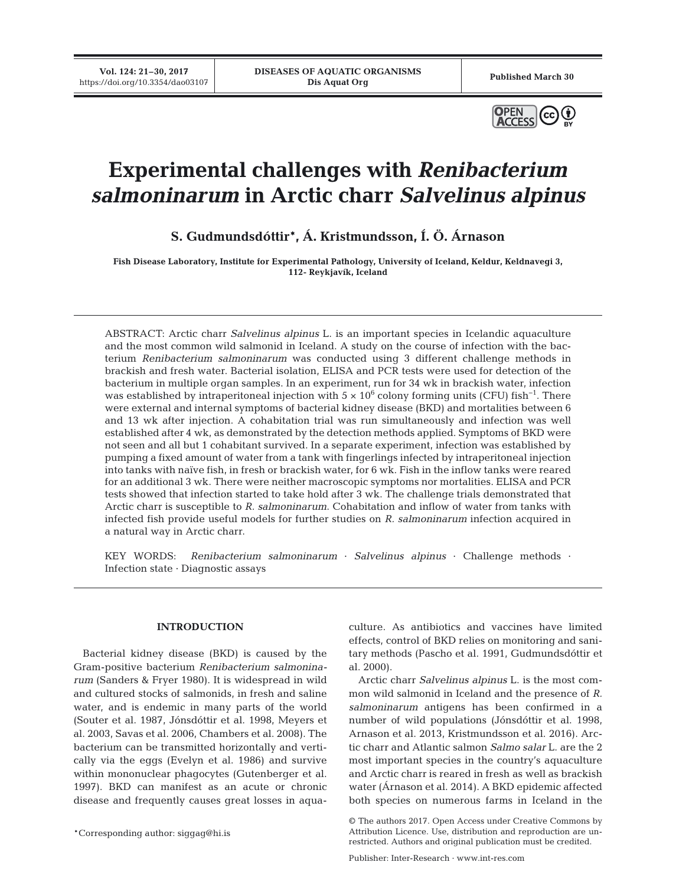**Vol. 124: 21–30, 2017**



# **Experimental challenges with** *Renibacterium salmoninarum* **in Arctic charr** *Salvelinus alpinus*

**S. Gudmundsdóttir\*, Á. Kristmundsson, Í. Ö. Árnason**

**Fish Disease Laboratory, Institute for Experimental Pathology, University of Iceland, Keldur, Keldnavegi 3, 112- Reykjavík, Iceland**

ABSTRACT: Arctic charr *Salvelinus alpinus* L. is an important species in Icelandic aquaculture and the most common wild salmonid in Iceland. A study on the course of infection with the bacterium *Renibacterium salmoninarum* was conducted using 3 different challenge methods in brackish and fresh water. Bacterial isolation, ELISA and PCR tests were used for detection of the bacterium in multiple organ samples. In an experiment, run for 34 wk in brackish water, infection was established by intraperitoneal injection with  $5 \times 10^6$  colony forming units (CFU) fish<sup>-1</sup>. There were external and internal symptoms of bacterial kidney disease (BKD) and mortalities between 6 and 13 wk after injection. A cohabitation trial was run simultaneously and infection was well established after 4 wk, as demonstrated by the detection methods applied. Symptoms of BKD were not seen and all but 1 cohabitant survived. In a separate experiment, infection was established by pumping a fixed amount of water from a tank with fingerlings infected by intraperitoneal injection into tanks with naïve fish, in fresh or brackish water, for 6 wk. Fish in the inflow tanks were reared for an additional 3 wk. There were neither macroscopic symptoms nor mortalities. ELISA and PCR tests showed that infection started to take hold after 3 wk. The challenge trials demonstrated that Arctic charr is susceptible to *R. salmoninarum*. Cohabitation and inflow of water from tanks with infected fish provide useful models for further studies on *R. salmoninarum* infection acquired in a natural way in Arctic charr.

KEY WORDS: *Renibacterium salmoninarum* · *Salvelinus alpinus* · Challenge methods · Infection state · Diagnostic assays

## **INTRODUCTION**

Bacterial kidney disease (BKD) is caused by the Gram-positive bacterium *Renibacterium salmonina rum* (Sanders & Fryer 1980). It is widespread in wild and cultured stocks of salmonids, in fresh and saline water, and is endemic in many parts of the world (Souter et al. 1987, Jónsdóttir et al. 1998, Meyers et al. 2003, Savas et al. 2006, Chambers et al. 2008). The bacterium can be transmitted horizontally and vertically via the eggs (Evelyn et al. 1986) and survive within mononuclear phagocytes (Gutenberger et al. 1997). BKD can manifest as an acute or chronic disease and frequently causes great losses in aqua-

\*Corresponding author: siggag@hi.is

culture. As antibiotics and vaccines have limited effects, control of BKD relies on monitoring and sanitary methods (Pascho et al. 1991, Gudmundsdóttir et al. 2000).

Arctic charr *Salvelinus alpinus* L. is the most common wild salmonid in Iceland and the presence of *R. salmoninarum* antigens has been confirmed in a number of wild populations (Jónsdóttir et al. 1998, Arnason et al. 2013, Kristmundsson et al. 2016). Arctic charr and Atlantic salmon *Salmo salar* L. are the 2 most important species in the country's aquaculture and Arctic charr is reared in fresh as well as brackish water (Árnason et al. 2014). A BKD epidemic affected both species on numerous farms in Iceland in the

Publisher: Inter-Research · www.int-res.com

<sup>©</sup> The authors 2017. Open Access under Creative Commons by Attribution Licence. Use, distribution and reproduction are unrestricted. Authors and original publication must be credited.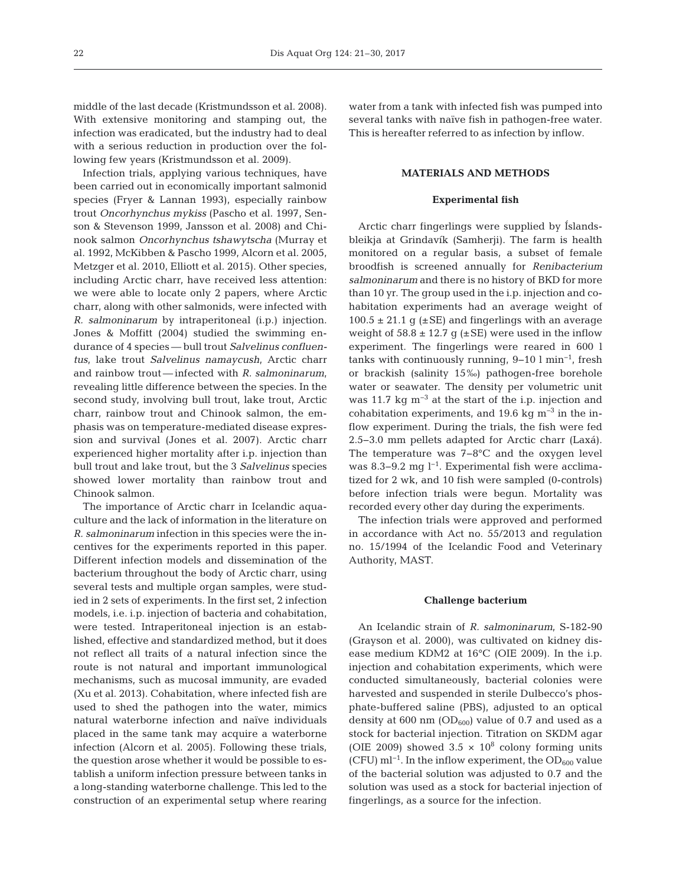middle of the last decade (Kristmundsson et al. 2008). With extensive monitoring and stamping out, the infection was eradicated, but the industry had to deal with a serious reduction in production over the following few years (Kristmundsson et al. 2009).

Infection trials, applying various techniques, have been carried out in economically important salmonid species (Fryer & Lannan 1993), especially rainbow trout *Oncorhynchus mykiss* (Pascho et al. 1997, Senson & Stevenson 1999, Jansson et al. 2008) and Chinook salmon *Oncorhynchus tshawytscha* (Murray et al. 1992, McKibben & Pascho 1999, Alcorn et al. 2005, Metzger et al. 2010, Elliott et al. 2015). Other species, including Arctic charr, have received less attention: we were able to locate only 2 papers, where Arctic charr, along with other salmonids, were infected with *R. salmoninarum* by intraperitoneal (i.p.) injection. Jones & Moffitt (2004) studied the swimming endurance of 4 species — bull trout *Salvelinus confluentus*, lake trout *Salvelinus namaycush*, Arctic charr and rainbow trout — infected with *R. salmoninarum*, revealing little difference between the species. In the second study, involving bull trout, lake trout, Arctic charr, rainbow trout and Chinook salmon, the emphasis was on temperature-mediated disease expression and survival (Jones et al. 2007). Arctic charr experienced higher mortality after i.p. injection than bull trout and lake trout, but the 3 *Salvelinus* species showed lower mortality than rainbow trout and Chinook salmon.

The importance of Arctic charr in Icelandic aquaculture and the lack of information in the literature on *R. salmoninarum* infection in this species were the incentives for the experiments reported in this paper. Different infection models and dissemination of the bacterium throughout the body of Arctic charr, using several tests and multiple organ samples, were studied in 2 sets of experiments. In the first set, 2 infection models, i.e. i.p. injection of bacteria and cohabitation, were tested. Intraperitoneal injection is an established, effective and standardized method, but it does not reflect all traits of a natural infection since the route is not natural and important immunological mechanisms, such as mucosal immunity, are evaded (Xu et al. 2013). Cohabitation, where infected fish are used to shed the pathogen into the water, mimics natural waterborne infection and naïve individuals placed in the same tank may acquire a waterborne infection (Alcorn et al. 2005). Following these trials, the question arose whether it would be possible to establish a uniform infection pressure between tanks in a long-standing waterborne challenge. This led to the construction of an experimental setup where rearing water from a tank with infected fish was pumped into several tanks with naïve fish in pathogen-free water. This is hereafter referred to as infection by inflow.

## **MATERIALS AND METHODS**

#### **Experimental fish**

Arctic charr fingerlings were supplied by Íslandsbleikja at Grindavík (Samherji). The farm is health monitored on a regular basis, a subset of female broodfish is screened annually for *Renibacterium salmoninarum* and there is no history of BKD for more than 10 yr. The group used in the i.p. injection and cohabitation experiments had an average weight of  $100.5 \pm 21.1$  g ( $\pm$ SE) and fingerlings with an average weight of  $58.8 \pm 12.7$  g ( $\pm$ SE) were used in the inflow experiment. The fingerlings were reared in 600 l tanks with continuously running, 9−10 l min−1, fresh or brackish (salinity 15‰) pathogen-free borehole water or seawater. The density per volumetric unit was 11.7 kg m<sup>-3</sup> at the start of the i.p. injection and cohabitation experiments, and 19.6 kg  $m^{-3}$  in the inflow experiment. During the trials, the fish were fed 2.5−3.0 mm pellets adapted for Arctic charr (Laxá). The temperature was 7−8°C and the oxygen level was 8.3–9.2 mg l<sup>-1</sup>. Experimental fish were acclimatized for 2 wk, and 10 fish were sampled (0-controls) before infection trials were begun. Mortality was recorded every other day during the experiments.

The infection trials were approved and performed in accordance with Act no. 55/2013 and regulation no. 15/1994 of the Icelandic Food and Veterinary Authority, MAST.

#### **Challenge bacterium**

An Icelandic strain of *R. salmoninarum*, S-182-90 (Grayson et al. 2000), was cultivated on kidney disease medium KDM2 at 16°C (OIE 2009). In the i.p. injection and cohabitation experiments, which were conducted simultaneously, bacterial colonies were harvested and suspended in sterile Dulbecco's phosphate-buffered saline (PBS), adjusted to an optical density at 600 nm ( $OD_{600}$ ) value of 0.7 and used as a stock for bacterial injection. Titration on SKDM agar (OIE 2009) showed  $3.5 \times 10^8$  colony forming units (CFU) ml<sup>-1</sup>. In the inflow experiment, the OD<sub>600</sub> value of the bacterial solution was adjusted to 0.7 and the solution was used as a stock for bacterial injection of fingerlings, as a source for the infection.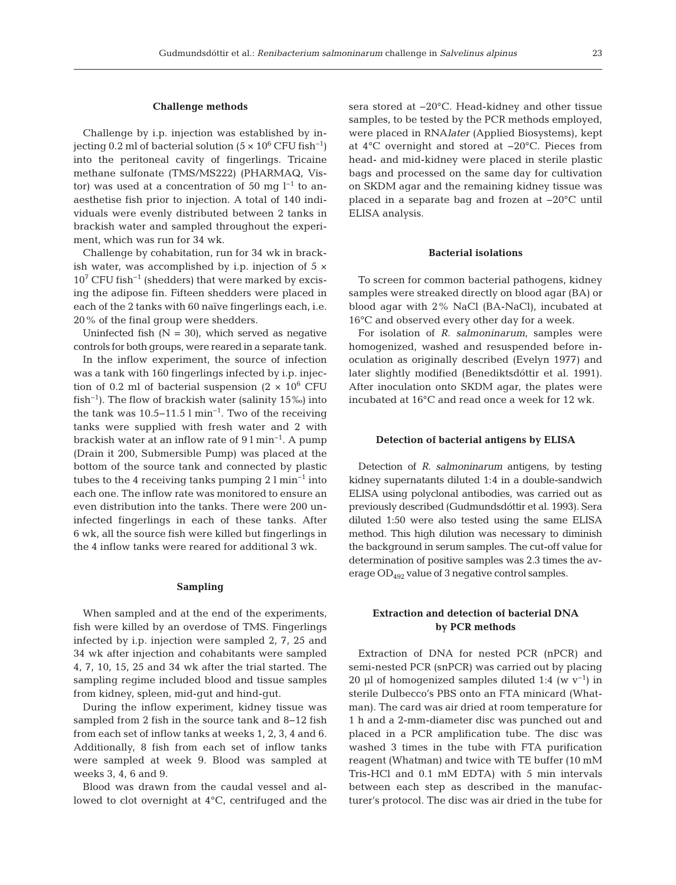#### **Challenge methods**

Challenge by i.p. injection was established by injecting 0.2 ml of bacterial solution (5  $\times$  10<sup>6</sup> CFU fish<sup>-1</sup>) into the peritoneal cavity of fingerlings. Tricaine methane sulfonate (TMS/MS222) (PHARMAQ, Vistor) was used at a concentration of 50 mg  $l^{-1}$  to anaesthetise fish prior to injection. A total of 140 individuals were evenly distributed between 2 tanks in brackish water and sampled throughout the experiment, which was run for 34 wk.

Challenge by cohabitation, run for 34 wk in brackish water, was accomplished by i.p. injection of  $5 \times$  $10^7$  CFU fish<sup>-1</sup> (shedders) that were marked by excising the adipose fin. Fifteen shedders were placed in each of the 2 tanks with 60 naïve fingerlings each, i.e. 20% of the final group were shedders.

Uninfected fish  $(N = 30)$ , which served as negative controls for both groups, were reared in a separate tank.

In the inflow experiment, the source of infection was a tank with 160 fingerlings infected by i.p. injection of 0.2 ml of bacterial suspension (2  $\times$  10<sup>6</sup> CFU fish<sup>-1</sup>). The flow of brackish water (salinity  $15\%$ ) into the tank was 10.5−11.5 l min<sup>-1</sup>. Two of the receiving tanks were supplied with fresh water and 2 with brackish water at an inflow rate of 9 l min−1. A pump (Drain it 200, Submersible Pump) was placed at the bottom of the source tank and connected by plastic tubes to the 4 receiving tanks pumping  $2 \text{ l min}^{-1}$  into each one. The inflow rate was monitored to ensure an even distribution into the tanks. There were 200 un infected fingerlings in each of these tanks. After 6 wk, all the source fish were killed but fingerlings in the 4 inflow tanks were reared for additional 3 wk.

## **Sampling**

When sampled and at the end of the experiments, fish were killed by an overdose of TMS. Fingerlings infected by i.p. injection were sampled 2, 7, 25 and 34 wk after injection and cohabitants were sampled 4, 7, 10, 15, 25 and 34 wk after the trial started. The sampling regime included blood and tissue samples from kidney, spleen, mid-gut and hind-gut.

During the inflow experiment, kidney tissue was sampled from 2 fish in the source tank and 8–12 fish from each set of inflow tanks at weeks 1, 2, 3, 4 and 6. Additionally, 8 fish from each set of inflow tanks were sampled at week 9. Blood was sampled at weeks 3, 4, 6 and 9.

Blood was drawn from the caudal vessel and allowed to clot overnight at 4°C, centrifuged and the sera stored at −20°C. Head-kidney and other tissue samples, to be tested by the PCR methods employed, were placed in RNA*later* (Applied Biosystems), kept at 4°C overnight and stored at −20°C. Pieces from head- and mid-kidney were placed in sterile plastic bags and processed on the same day for cultivation on SKDM agar and the remaining kidney tissue was placed in a separate bag and frozen at −20°C until ELISA analysis.

#### **Bacterial isolations**

To screen for common bacterial pathogens, kidney samples were streaked directly on blood agar (BA) or blood agar with 2% NaCl (BA-NaCl), incubated at 16°C and observed every other day for a week.

For isolation of *R. salmoninarum*, samples were homogenized, washed and resuspended before inoculation as originally described (Evelyn 1977) and later slightly modified (Benediktsdóttir et al. 1991). After inoculation onto SKDM agar, the plates were incubated at 16°C and read once a week for 12 wk.

#### **Detection of bacterial antigens by ELISA**

Detection of *R. salmoninarum* antigens, by testing kidney supernatants diluted 1:4 in a double-sandwich ELISA using polyclonal antibodies, was carried out as previously described (Gudmundsdóttir et al. 1993). Sera diluted 1:50 were also tested using the same ELISA method. This high dilution was necessary to diminish the background in serum samples. The cut-off value for determination of positive samples was 2.3 times the average OD492 value of 3 negative control samples.

# **Extraction and detection of bacterial DNA by PCR methods**

Extraction of DNA for nested PCR (nPCR) and semi-nested PCR (snPCR) was carried out by placing 20 µl of homogenized samples diluted 1:4 (w  $v^{-1}$ ) in sterile Dulbecco's PBS onto an FTA minicard (Whatman). The card was air dried at room temperature for 1 h and a 2-mm-diameter disc was punched out and placed in a PCR amplification tube. The disc was washed 3 times in the tube with FTA purification reagent (Whatman) and twice with TE buffer (10 mM Tris-HCl and 0.1 mM EDTA) with 5 min intervals between each step as described in the manufacturer's protocol. The disc was air dried in the tube for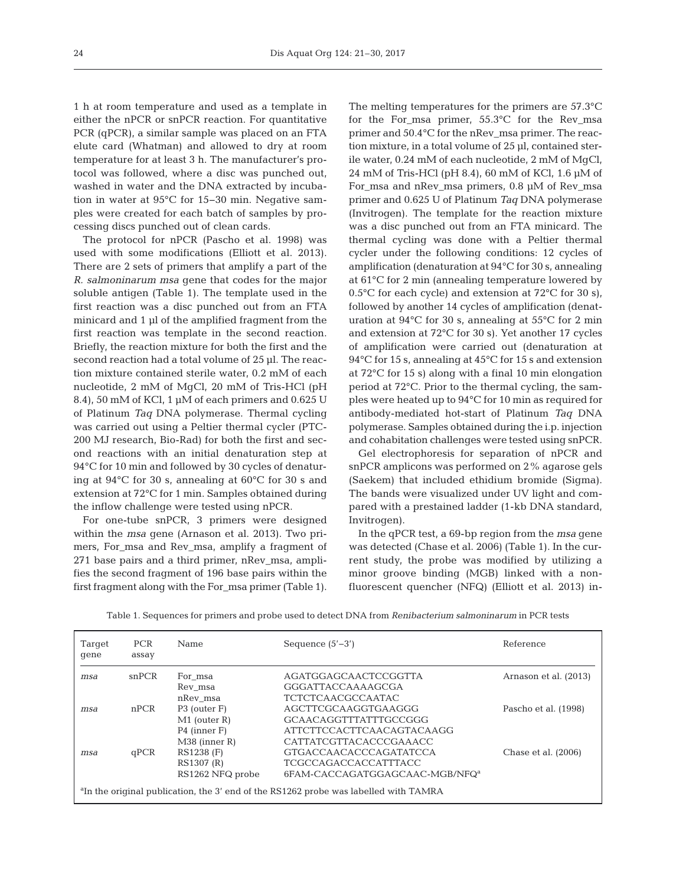1 h at room temperature and used as a template in either the nPCR or snPCR reaction. For quantitative PCR (qPCR), a similar sample was placed on an FTA elute card (Whatman) and allowed to dry at room temperature for at least 3 h. The manufacturer's protocol was followed, where a disc was punched out, washed in water and the DNA extracted by incubation in water at 95°C for 15−30 min. Negative samples were created for each batch of samples by processing discs punched out of clean cards.

The protocol for nPCR (Pascho et al. 1998) was used with some modifications (Elliott et al. 2013). There are 2 sets of primers that amplify a part of the *R. salmoninarum msa* gene that codes for the major soluble antigen (Table 1). The template used in the first reaction was a disc punched out from an FTA minicard and 1 µl of the amplified fragment from the first reaction was template in the second reaction. Briefly, the reaction mixture for both the first and the second reaction had a total volume of 25 µl. The reaction mixture contained sterile water, 0.2 mM of each nucleotide, 2 mM of MgCl, 20 mM of Tris-HCl (pH 8.4), 50 mM of KCl, 1 µM of each primers and 0.625 U of Platinum *Taq* DNA polymerase. Thermal cycling was carried out using a Peltier thermal cycler (PTC-200 MJ research, Bio-Rad) for both the first and second reactions with an initial denaturation step at 94°C for 10 min and followed by 30 cycles of denaturing at 94°C for 30 s, annealing at 60°C for 30 s and extension at 72°C for 1 min. Samples obtained during the inflow challenge were tested using nPCR.

For one-tube snPCR, 3 primers were designed within the *msa* gene (Arnason et al. 2013). Two primers, For\_msa and Rev\_msa, amplify a fragment of 271 base pairs and a third primer, nRev\_msa, amplifies the second fragment of 196 base pairs within the first fragment along with the For\_msa primer (Table 1). The melting temperatures for the primers are 57.3°C for the For\_msa primer, 55.3°C for the Rev\_msa primer and 50.4°C for the nRev\_msa primer. The reaction mixture, in a total volume of 25 µl, contained sterile water, 0.24 mM of each nucleotide, 2 mM of MgCl, 24 mM of Tris-HCl (pH 8.4), 60 mM of KCl, 1.6 µM of For\_msa and nRev\_msa primers, 0.8 µM of Rev\_msa primer and 0.625 U of Platinum *Taq* DNA polymerase (Invitrogen). The template for the reaction mixture was a disc punched out from an FTA minicard. The thermal cycling was done with a Peltier thermal cycler under the following conditions: 12 cycles of amplification (denaturation at 94°C for 30 s, annealing at 61°C for 2 min (annealing temperature lowered by 0.5 $\degree$ C for each cycle) and extension at 72 $\degree$ C for 30 s), followed by another 14 cycles of amplification (denaturation at 94°C for 30 s, annealing at 55°C for 2 min and extension at 72°C for 30 s). Yet another 17 cycles of amplification were carried out (denaturation at 94°C for 15 s, annealing at 45°C for 15 s and extension at 72°C for 15 s) along with a final 10 min elongation period at 72°C. Prior to the thermal cycling, the samples were heated up to 94°C for 10 min as required for antibody-mediated hot-start of Platinum *Taq* DNA polymerase. Samples obtained during the i.p. injection and cohabitation challenges were tested using snPCR.

Gel electrophoresis for separation of nPCR and snPCR amplicons was performed on 2% agarose gels (Saekem) that included ethidium bromide (Sigma). The bands were visualized under UV light and compared with a prestained ladder (1-kb DNA standard, Invitrogen).

In the qPCR test, a 69-bp region from the *msa* gene was detected (Chase et al. 2006) (Table 1). In the current study, the probe was modified by utilizing a minor groove binding (MGB) linked with a nonfluorescent quencher (NFQ) (Elliott et al. 2013) in -

| Table 1. Sequences for primers and probe used to detect DNA from <i>Renibacterium salmoninarum</i> in PCR tests |  |  |  |  |  |  |  |
|-----------------------------------------------------------------------------------------------------------------|--|--|--|--|--|--|--|
|-----------------------------------------------------------------------------------------------------------------|--|--|--|--|--|--|--|

| Target<br>qene                                                                                   | <b>PCR</b><br>assay | Name             | Sequence $(5'$ –3')                        | Reference             |  |
|--------------------------------------------------------------------------------------------------|---------------------|------------------|--------------------------------------------|-----------------------|--|
| msa                                                                                              | snPCR               | For msa          | AGATGGAGCAACTCCGGTTA                       | Arnason et al. (2013) |  |
|                                                                                                  |                     | Rev msa          | GGGATTACCAAAAGCGA                          |                       |  |
|                                                                                                  |                     | nRev msa         | <b>TCTCTCAACGCCAATAC</b>                   |                       |  |
| msa                                                                                              | nPCR                | P3 (outer F)     | AGCTTCGCAAGGTGAAGGG                        | Pascho et al. (1998)  |  |
|                                                                                                  |                     | $M1$ (outer R)   | GCAACAGGTTTATTTGCCGGG                      |                       |  |
|                                                                                                  |                     | P4 (inner F)     | ATTCTTCCACTTCAACAGTACAAGG                  |                       |  |
|                                                                                                  |                     | $M38$ (inner R)  | CATTATCGTTACACCCGAAACC                     |                       |  |
| msa                                                                                              | qPCR                | RS1238 (F)       | GTGACCAACACCCAGATATCCA                     | Chase et al. (2006)   |  |
|                                                                                                  |                     | RS1307 (R)       | <b>TCGCCAGACCACCATTTACC</b>                |                       |  |
|                                                                                                  |                     | RS1262 NFQ probe | 6FAM-CACCAGATGGAGCAAC-MGB/NFQ <sup>a</sup> |                       |  |
| <sup>a</sup> In the original publication, the 3' end of the RS1262 probe was labelled with TAMRA |                     |                  |                                            |                       |  |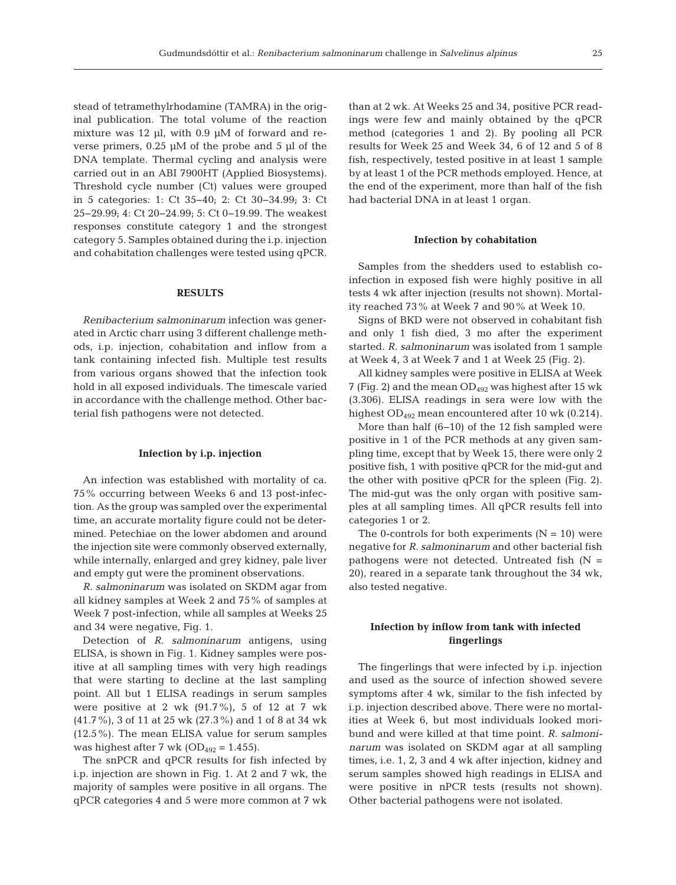stead of tetramethylrhodamine (TAMRA) in the original publication. The total volume of the reaction mixture was 12  $\mu$ l, with 0.9  $\mu$ M of forward and reverse primers,  $0.25 \mu M$  of the probe and 5  $\mu$ l of the DNA template. Thermal cycling and analysis were carried out in an ABI 7900HT (Applied Biosystems). Threshold cycle number (Ct) values were grouped in 5 categories: 1: Ct 35−40; 2: Ct 30−34.99; 3: Ct 25−29.99; 4: Ct 20−24.99; 5: Ct 0−19.99. The weakest responses constitute category 1 and the strongest category 5. Samples obtained during the i.p. injection and cohabitation challenges were tested using qPCR.

# **RESULTS**

*Renibacterium salmoninarum* infection was generated in Arctic charr using 3 different challenge methods, i.p. injection, cohabitation and inflow from a tank containing infected fish. Multiple test results from various organs showed that the infection took hold in all exposed individuals. The timescale varied in accordance with the challenge method. Other bacterial fish pathogens were not detected.

#### **Infection by i.p. injection**

An infection was established with mortality of ca. 75% occurring between Weeks 6 and 13 post-infection. As the group was sampled over the experimental time, an accurate mortality figure could not be determined. Petechiae on the lower abdomen and around the injection site were commonly observed externally, while internally, enlarged and grey kidney, pale liver and empty gut were the prominent observations.

*R. salmoninarum* was isolated on SKDM agar from all kidney samples at Week 2 and 75% of samples at Week 7 post-infection, while all samples at Weeks 25 and 34 were negative, Fig. 1.

Detection of *R. salmoninarum* antigens, using ELISA, is shown in Fig. 1. Kidney samples were positive at all sampling times with very high readings that were starting to decline at the last sampling point. All but 1 ELISA readings in serum samples were positive at 2 wk  $(91.7\%)$ , 5 of 12 at 7 wk (41.7%), 3 of 11 at 25 wk (27.3%) and 1 of 8 at 34 wk (12.5%). The mean ELISA value for serum samples was highest after 7 wk ( $OD_{492} = 1.455$ ).

The snPCR and qPCR results for fish infected by i.p. injection are shown in Fig. 1. At 2 and 7 wk, the majority of samples were positive in all organs. The qPCR categories 4 and 5 were more common at 7 wk than at 2 wk. At Weeks 25 and 34, positive PCR readings were few and mainly obtained by the qPCR method (categories 1 and 2). By pooling all PCR results for Week 25 and Week 34, 6 of 12 and 5 of 8 fish, respectively, tested positive in at least 1 sample by at least 1 of the PCR methods employed. Hence, at the end of the experiment, more than half of the fish had bacterial DNA in at least 1 organ.

#### **Infection by cohabitation**

Samples from the shedders used to establish coinfection in exposed fish were highly positive in all tests 4 wk after injection (results not shown). Mortality reached 73% at Week 7 and 90% at Week 10.

Signs of BKD were not observed in cohabitant fish and only 1 fish died, 3 mo after the experiment started. *R. salmoninarum* was isolated from 1 sample at Week 4, 3 at Week 7 and 1 at Week 25 (Fig. 2).

All kidney samples were positive in ELISA at Week 7 (Fig. 2) and the mean  $OD_{492}$  was highest after 15 wk (3.306). ELISA readings in sera were low with the highest OD<sub>492</sub> mean encountered after 10 wk (0.214).

More than half (6−10) of the 12 fish sampled were positive in 1 of the PCR methods at any given sampling time, except that by Week 15, there were only 2 positive fish, 1 with positive qPCR for the mid-gut and the other with positive qPCR for the spleen (Fig. 2). The mid-gut was the only organ with positive samples at all sampling times. All qPCR results fell into categories 1 or 2.

The 0-controls for both experiments  $(N = 10)$  were negative for *R. salmoninarum* and other bacterial fish pathogens were not detected. Untreated fish  $(N =$ 20), reared in a separate tank throughout the 34 wk, also tested negative.

# **Infection by inflow from tank with infected fingerlings**

The fingerlings that were infected by i.p. injection and used as the source of infection showed severe symptoms after 4 wk, similar to the fish infected by i.p. injection described above. There were no mortalities at Week 6, but most individuals looked moribund and were killed at that time point. *R. salmoninarum* was isolated on SKDM agar at all sampling times, i.e. 1, 2, 3 and 4 wk after injection, kidney and serum samples showed high readings in ELISA and were positive in nPCR tests (results not shown). Other bacterial pathogens were not isolated.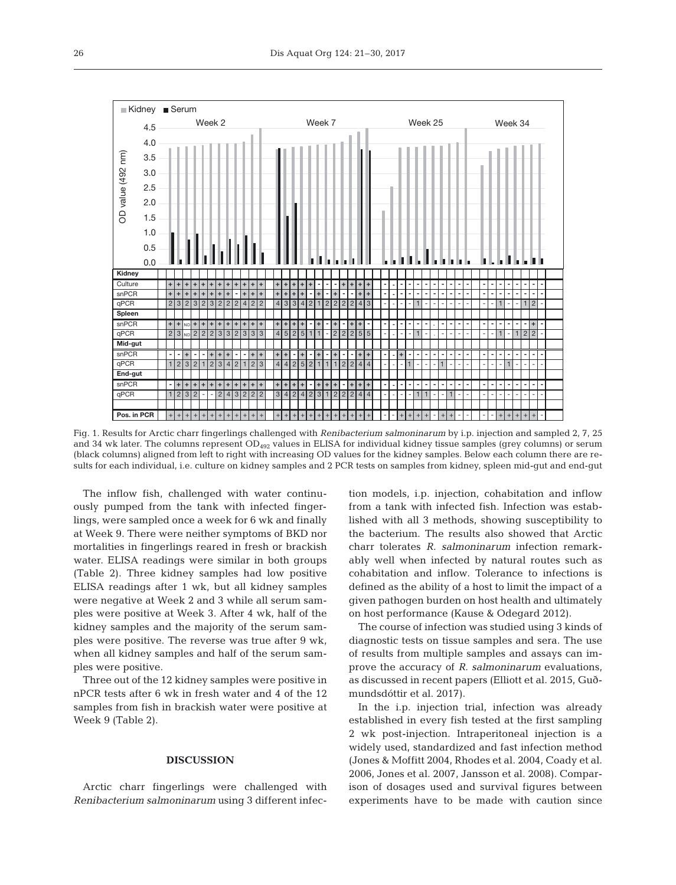

Fig. 1. Results for Arctic charr fingerlings challenged with *Renibacterium salmoninarum* by i.p. injection and sampled 2, 7, 25 and 34 wk later. The columns represent OD<sub>492</sub> values in ELISA for individual kidney tissue samples (grey columns) or serum (black columns) aligned from left to right with increasing OD values for the kidney samples. Below each column there are results for each individual, i.e. culture on kidney samples and 2 PCR tests on samples from kidney, spleen mid-gut and end-gut

The inflow fish, challenged with water continuously pumped from the tank with infected fingerlings, were sampled once a week for 6 wk and finally at Week 9. There were neither symptoms of BKD nor mortalities in fingerlings reared in fresh or brackish water. ELISA readings were similar in both groups (Table 2). Three kidney samples had low positive ELISA readings after 1 wk, but all kidney samples were negative at Week 2 and 3 while all serum samples were positive at Week 3. After 4 wk, half of the kidney samples and the majority of the serum samples were positive. The reverse was true after 9 wk, when all kidney samples and half of the serum samples were positive.

Three out of the 12 kidney samples were positive in nPCR tests after 6 wk in fresh water and 4 of the 12 samples from fish in brackish water were positive at Week 9 (Table 2).

#### **DISCUSSION**

Arctic charr fingerlings were challenged with *Renibacterium salmoninarum* using 3 different infection models, i.p. injection, cohabitation and inflow from a tank with infected fish. Infection was established with all 3 methods, showing susceptibility to the bacterium. The results also showed that Arctic charr tolerates *R. salmoninarum* infection remarkably well when infected by natural routes such as cohabitation and inflow. Tolerance to infections is defined as the ability of a host to limit the impact of a given pathogen burden on host health and ultimately on host performance (Kause & Odegard 2012).

The course of infection was studied using 3 kinds of diagnostic tests on tissue samples and sera. The use of results from multiple samples and assays can im prove the accuracy of *R. salmoninarum* evaluations, as discussed in recent papers (Elliott et al. 2015, Guðmundsdóttir et al. 2017).

In the i.p. injection trial, infection was already established in every fish tested at the first sampling 2 wk post-injection. Intraperitoneal injection is a widely used, standardized and fast infection method (Jones & Moffitt 2004, Rhodes et al. 2004, Coady et al. 2006, Jones et al. 2007, Jansson et al. 2008). Comparison of dosages used and survival figures between experiments have to be made with caution since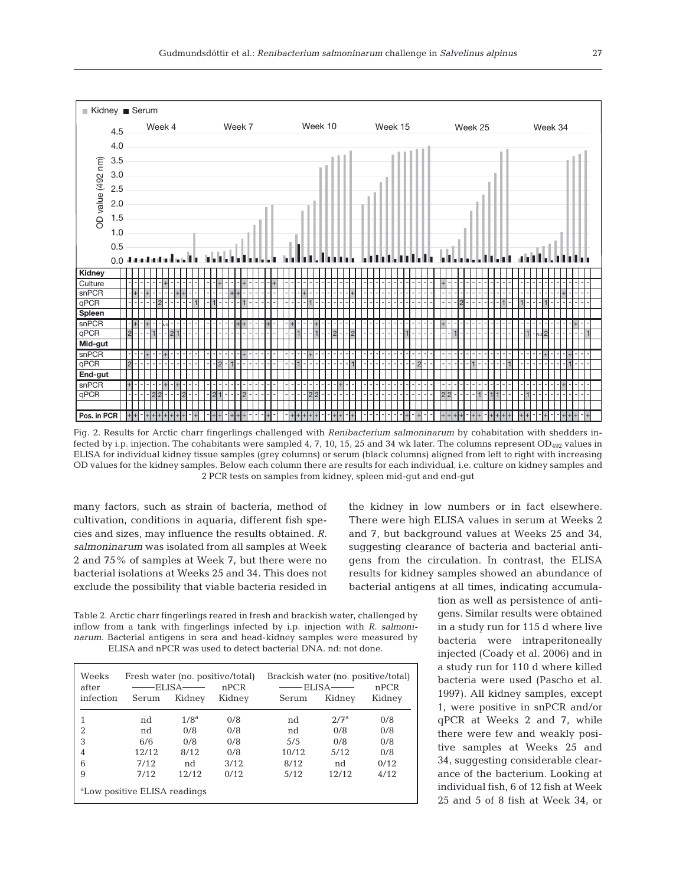

Fig. 2. Results for Arctic charr fingerlings challenged with *Renibacterium salmoninarum* by cohabitation with shedders infected by i.p. injection. The cohabitants were sampled 4, 7, 10, 15, 25 and 34 wk later. The columns represent  $OD<sub>492</sub>$  values in ELISA for individual kidney tissue samples (grey columns) or serum (black columns) aligned from left to right with increasing OD values for the kidney samples. Below each column there are results for each individual, i.e. culture on kidney samples and 2 PCR tests on samples from kidney, spleen mid-gut and end-gut

many factors, such as strain of bacteria, method of cultivation, conditions in aquaria, different fish species and sizes, may influence the results obtained. *R. salmoninarum* was isolated from all samples at Week 2 and 75% of samples at Week 7, but there were no bacterial isolations at Weeks 25 and 34. This does not exclude the possibility that viable bacteria resided in the kidney in low numbers or in fact elsewhere. There were high ELISA values in serum at Weeks 2 and 7, but background values at Weeks 25 and 34, suggesting clearance of bacteria and bacterial antigens from the circulation. In contrast, the ELISA results for kidney samples showed an abundance of bacterial antigens at all times, indicating accumula-

Table 2. Arctic charr fingerlings reared in fresh and brackish water, challenged by inflow from a tank with fingerlings infected by i.p. injection with *R. salmoninarum*. Bacterial antigens in sera and head-kidney samples were measured by ELISA and nPCR was used to detect bacterial DNA. nd: not done.

| Weeks<br>after<br>infection              | Fresh water (no. positive/total)<br>ELISA-<br>Kidney<br>Serum |                  | nPCR<br>Kidney | Brackish water (no. positive/total)<br>ELISA-<br>Serum | nPCR<br>Kidney |      |  |
|------------------------------------------|---------------------------------------------------------------|------------------|----------------|--------------------------------------------------------|----------------|------|--|
|                                          | nd                                                            | 1/8 <sup>a</sup> | 0/8            | nd                                                     | 2/7a           | 0/8  |  |
| 2                                        | nd                                                            | 0/8              | 0/8            | nd                                                     | 0/8            | 0/8  |  |
| 3                                        | 6/6                                                           | 0/8              | 0/8            | 5/5                                                    | 0/8            | 0/8  |  |
| 4                                        | 12/12                                                         | 8/12             | 0/8            | 10/12                                                  | 5/12           | 0/8  |  |
| 6                                        | 7/12                                                          | nd               | 3/12           | 8/12                                                   | nd             | 0/12 |  |
| 9                                        | 7/12                                                          | 12/12            | 0/12           | 5/12                                                   | 12/12          | 4/12 |  |
| <sup>a</sup> Low positive ELISA readings |                                                               |                  |                |                                                        |                |      |  |

tion as well as persistence of antigens. Similar results were obtained in a study run for 115 d where live bacteria were intraperitoneally injected (Coady et al. 2006) and in a study run for 110 d where killed bacteria were used (Pascho et al. 1997). All kidney samples, except 1, were positive in snPCR and/or qPCR at Weeks 2 and 7, while there were few and weakly positive samples at Weeks 25 and 34, suggesting considerable clearance of the bacterium. Looking at individual fish, 6 of 12 fish at Week 25 and 5 of 8 fish at Week 34, or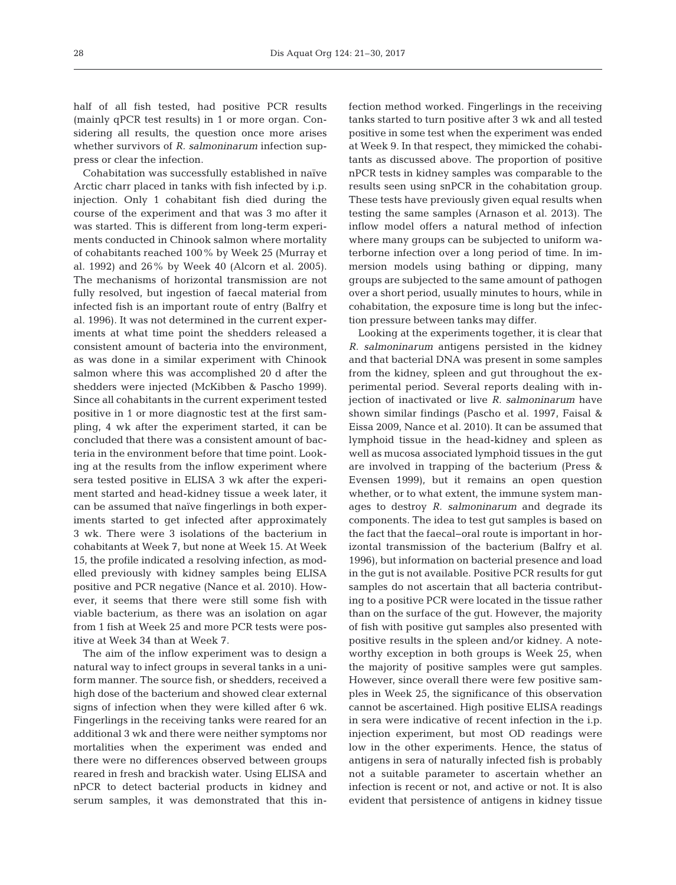half of all fish tested, had positive PCR results (mainly qPCR test results) in 1 or more organ. Considering all results, the question once more arises whether survivors of *R. salmoninarum* infection suppress or clear the infection.

Cohabitation was successfully established in naïve Arctic charr placed in tanks with fish infected by i.p. injection. Only 1 cohabitant fish died during the course of the experiment and that was 3 mo after it was started. This is different from long-term experiments conducted in Chinook salmon where mortality of cohabitants reached 100% by Week 25 (Murray et al. 1992) and 26% by Week 40 (Alcorn et al. 2005). The mechanisms of horizontal transmission are not fully resolved, but ingestion of faecal material from infected fish is an important route of entry (Balfry et al. 1996). It was not determined in the current experiments at what time point the shedders released a consistent amount of bacteria into the environment, as was done in a similar experiment with Chinook salmon where this was accomplished 20 d after the shedders were injected (McKibben & Pascho 1999). Since all cohabitants in the current experiment tested positive in 1 or more diagnostic test at the first sampling, 4 wk after the experiment started, it can be concluded that there was a consistent amount of bacteria in the environment before that time point. Looking at the results from the inflow experiment where sera tested positive in ELISA 3 wk after the experiment started and head-kidney tissue a week later, it can be assumed that naïve fingerlings in both experiments started to get infected after approximately 3 wk. There were 3 isolations of the bacterium in cohabitants at Week 7, but none at Week 15. At Week 15, the profile indicated a resolving infection, as modelled previously with kidney samples being ELISA positive and PCR negative (Nance et al. 2010). However, it seems that there were still some fish with viable bacterium, as there was an isolation on agar from 1 fish at Week 25 and more PCR tests were positive at Week 34 than at Week 7.

The aim of the inflow experiment was to design a natural way to infect groups in several tanks in a uniform manner. The source fish, or shedders, received a high dose of the bacterium and showed clear external signs of infection when they were killed after 6 wk. Fingerlings in the receiving tanks were reared for an additional 3 wk and there were neither symptoms nor mortalities when the experiment was ended and there were no differences observed between groups reared in fresh and brackish water. Using ELISA and nPCR to detect bacterial products in kidney and serum samples, it was demonstrated that this infection method worked. Fingerlings in the receiving tanks started to turn positive after 3 wk and all tested positive in some test when the experiment was ended at Week 9. In that respect, they mimicked the cohabitants as discussed above. The proportion of positive nPCR tests in kidney samples was comparable to the results seen using snPCR in the cohabitation group. These tests have previously given equal results when testing the same samples (Arnason et al. 2013). The inflow model offers a natural method of infection where many groups can be subjected to uniform waterborne infection over a long period of time. In immersion models using bathing or dipping, many groups are subjected to the same amount of pathogen over a short period, usually minutes to hours, while in cohabitation, the exposure time is long but the infection pressure between tanks may differ.

Looking at the experiments together, it is clear that *R. salmoninarum* antigens persisted in the kidney and that bacterial DNA was present in some samples from the kidney, spleen and gut throughout the experimental period. Several reports dealing with injection of inactivated or live *R. salmoninarum* have shown similar findings (Pascho et al. 1997, Faisal & Eissa 2009, Nance et al. 2010). It can be assumed that lymphoid tissue in the head-kidney and spleen as well as mucosa associated lymphoid tissues in the gut are involved in trapping of the bacterium (Press & Evensen 1999), but it remains an open question whether, or to what extent, the immune system manages to destroy *R. salmoninarum* and degrade its components. The idea to test gut samples is based on the fact that the faecal−oral route is important in horizontal transmission of the bacterium (Balfry et al. 1996), but information on bacterial presence and load in the gut is not available. Positive PCR results for gut samples do not ascertain that all bacteria contributing to a positive PCR were located in the tissue rather than on the surface of the gut. However, the majority of fish with positive gut samples also presented with positive results in the spleen and/or kidney. A noteworthy exception in both groups is Week 25, when the majority of positive samples were gut samples. However, since overall there were few positive samples in Week 25, the significance of this observation cannot be ascertained. High positive ELISA readings in sera were indicative of recent infection in the i.p. injection experiment, but most OD readings were low in the other experiments. Hence, the status of antigens in sera of naturally infected fish is probably not a suitable parameter to ascertain whether an infection is recent or not, and active or not. It is also evident that persistence of antigens in kidney tissue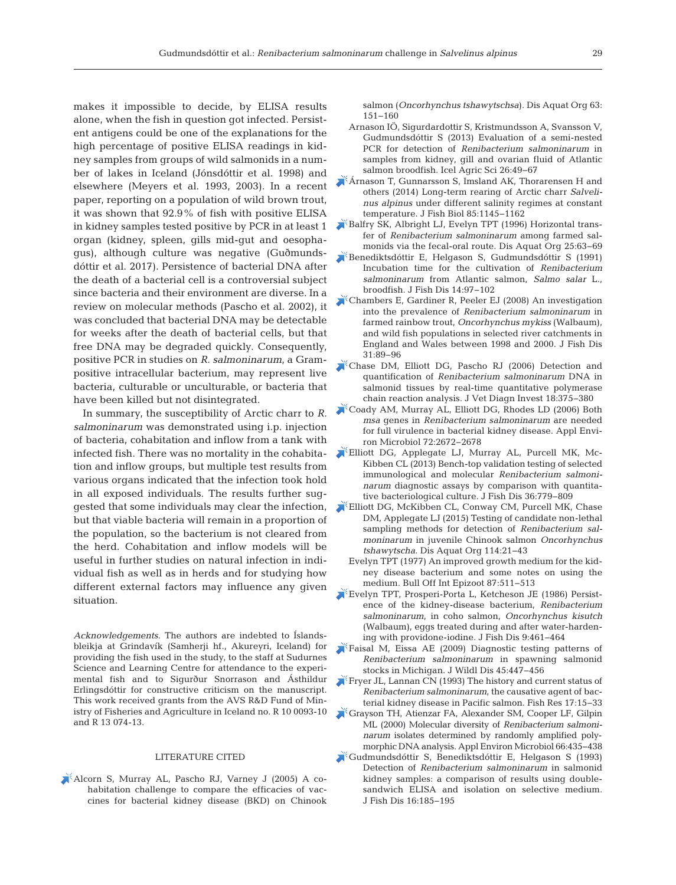makes it impossible to decide, by ELISA results alone, when the fish in question got infected. Persistent antigens could be one of the explanations for the high percentage of positive ELISA readings in kidney samples from groups of wild salmonids in a number of lakes in Iceland (Jónsdóttir et al. 1998) and elsewhere (Meyers et al. 1993, 2003). In a recent paper, reporting on a population of wild brown trout, it was shown that 92.9% of fish with positive ELISA in kidney samples tested positive by PCR in at least 1 organ (kidney, spleen, gills mid-gut and oesophagus), although culture was negative (Guðmundsdóttir et al. 2017). Persistence of bacterial DNA after the death of a bacterial cell is a controversial subject since bacteria and their environment are diverse. In a review on molecular methods (Pascho et al. 2002), it was concluded that bacterial DNA may be detectable for weeks after the death of bacterial cells, but that free DNA may be degraded quickly. Consequently, positive PCR in studies on *R. salmoninarum*, a Grampositive intracellular bacterium, may represent live bacteria, culturable or unculturable, or bacteria that have been killed but not disintegrated.

In summary, the susceptibility of Arctic charr to *R. salmoninarum* was demonstrated using i.p. injection of bacteria, cohabitation and inflow from a tank with infected fish. There was no mortality in the cohabitation and inflow groups, but multiple test results from various organs indicated that the infection took hold in all exposed individuals. The results further suggested that some individuals may clear the infection, but that viable bacteria will remain in a proportion of the population, so the bacterium is not cleared from the herd. Cohabitation and inflow models will be useful in further studies on natural infection in individual fish as well as in herds and for studying how different external factors may influence any given situation.

*Acknowledgements*. The authors are indebted to Íslandsbleikja at Grindavík (Samherji hf., Akureyri, Iceland) for providing the fish used in the study, to the staff at Sudurnes Science and Learning Centre for attendance to the experimental fish and to Sigurður Snorrason and Ásthildur Erlingsdóttir for constructive criticism on the manuscript. This work received grants from the AVS R&D Fund of Ministry of Fisheries and Agriculture in Iceland no. R 10 0093-10 and R 13 074-13.

#### LITERATURE CITED

[Alcorn S, Murray AL, Pascho RJ, Varney J \(2005\) A co](https://www.ncbi.nlm.nih.gov/entrez/query.fcgi?cmd=Retrieve&db=PubMed&list_uids=15819430&dopt=Abstract)  habitation challenge to compare the efficacies of vaccines for bacterial kidney disease (BKD) on Chinook salmon (*Oncorhynchus tshawytschsa*). Dis Aquat Org 63: 151−160

- Arnason IÖ, Sigurdardottir S, Kristmundsson A, Svansson V, Gudmundsdóttir S (2013) Evaluation of a semi-nested PCR for detection of *Renibacterium salmoninarum* in samples from kidney, gill and ovarian fluid of Atlantic salmon broodfish. Icel Agric Sci 26: 49−67
- [Árnason T, Gunnarsson S, Imsland AK, Thorarensen H and](https://www.ncbi.nlm.nih.gov/entrez/query.fcgi?cmd=Retrieve&db=PubMed&list_uids=25053158&dopt=Abstract) others (2014) Long-term rearing of Arctic charr *Salvelinus alpinus* under different salinity regimes at constant temperature. J Fish Biol 85: 1145−1162
- [Balfry SK, Albright LJ, Evelyn TPT \(1996\) Horizontal trans](https://doi.org/10.3354/dao025063)fer of *Renibacterium salmoninarum* among farmed sal monids via the fecal-oral route. Dis Aquat Org 25:63-69
- [Benediktsdóttir E, Helgason S, Gudmundsdóttir S \(1991\)](https://doi.org/10.1111/j.1365-2761.1991.tb00580.x) Incubation time for the cultivation of *Renibacterium salmoninarum* from Atlantic salmon, *Salmo salar* L., broodfish. J Fish Dis 14: 97−102
- [Chambers E, Gardiner R, Peeler EJ \(2008\) An investigation](https://www.ncbi.nlm.nih.gov/entrez/query.fcgi?cmd=Retrieve&db=PubMed&list_uids=18234016&dopt=Abstract) into the prevalence of *Renibacterium salmoninarum* in farmed rainbow trout, *Oncorhynchus mykiss* (Walbaum), and wild fish populations in selected river catchments in England and Wales between 1998 and 2000. J Fish Dis 31: 89−96
- [Chase DM, Elliott DG, Pascho RJ \(2006\) Detection and](https://www.ncbi.nlm.nih.gov/entrez/query.fcgi?cmd=Retrieve&db=PubMed&list_uids=16921877&dopt=Abstract) quantification of *Renibacterium salmoninarum* DNA in salmonid tissues by real-time quantitative polymerase chain reaction analysis. J Vet Diagn Invest 18:375-380
- [Coady AM, Murray AL, Elliott DG, Rhodes LD \(2006\) Both](https://www.ncbi.nlm.nih.gov/entrez/query.fcgi?cmd=Retrieve&db=PubMed&list_uids=16597972&dopt=Abstract) *msa* genes in *Renibacterium salmoninarum* are needed for full virulence in bacterial kidney disease. Appl Environ Microbiol 72: 2672−2678
- [Elliott DG, Applegate LJ, Murray AL, Purcell MK, Mc -](https://www.ncbi.nlm.nih.gov/entrez/query.fcgi?cmd=Retrieve&db=PubMed&list_uids=23346868&dopt=Abstract) Kibben CL (2013) Bench-top validation testing of selected immunological and molecular *Renibacterium salmoninarum* diagnostic assays by comparison with quantitative bacteriological culture. J Fish Dis 36: 779−809
- [Elliott DG, McKibben CL, Conway CM, Purcell MK, Chase](https://www.ncbi.nlm.nih.gov/entrez/query.fcgi?cmd=Retrieve&db=PubMed&list_uids=25958804&dopt=Abstract) DM, Applegate LJ (2015) Testing of candidate non-lethal sampling methods for detection of *Renibacterium sal moninarum* in juvenile Chinook salmon *Oncorhynchus tshawytscha*. Dis Aquat Org 114:21-43
	- Evelyn TPT (1977) An improved growth medium for the kidney disease bacterium and some notes on using the medium. Bull Off Int Epizoot 87:511-513
- [Evelyn TPT, Prosperi-Porta L, Ketcheson JE \(1986\) Persist](https://doi.org/10.1111/j.1365-2761.1986.tb01040.x)ence of the kidney-disease bacterium, *Renibacterium salmoninarum*, in coho salmon, *Oncorhynchus kisutch* (Walbaum), eggs treated during and after water-hardening with providone-iodine. J Fish Dis 9: 461−464
- [Faisal M, Eissa AE \(2009\) Diagnostic testing patterns of](https://www.ncbi.nlm.nih.gov/entrez/query.fcgi?cmd=Retrieve&db=PubMed&list_uids=19395754&dopt=Abstract) *Renibacterium salmoninarum* in spawning salmonid stocks in Michigan. J Wildl Dis 45:447-456
- [Fryer JL, Lannan CN \(1993\) The history and current status of](https://doi.org/10.1016/0165-7836(93)90004-Q) *Renibacterium salmoninarum*, the causative agent of bacterial kidney disease in Pacific salmon. Fish Res 17: 15−33
- [Grayson TH, Atienzar FA, Alexander SM, Cooper LF, Gilpin](https://www.ncbi.nlm.nih.gov/entrez/query.fcgi?cmd=Retrieve&db=PubMed&list_uids=10618262&dopt=Abstract) ML (2000) Molecular diversity of *Renibacterium salmoninarum* isolates determined by randomly amplified polymorphic DNA analysis. Appl Environ Microbiol 66:435-438
- [Gudmundsdóttir S, Benediktsdóttir E, Helgason S \(1993\)](https://doi.org/10.1111/j.1365-2761.1993.tb01249.x) Detection of *Renibacterium salmoninarum* in salmonid kidney samples: a comparison of results using doublesandwich ELISA and isolation on selective medium. J Fish Dis 16: 185−195